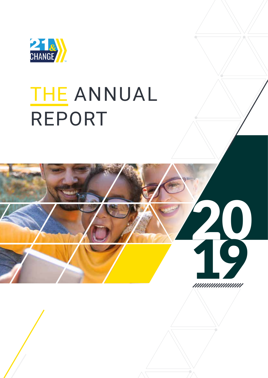

# THE ANNUAL REPORT

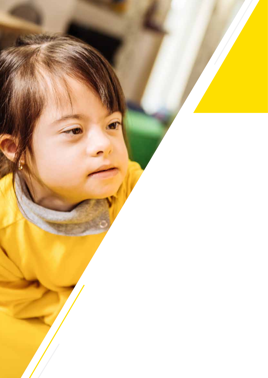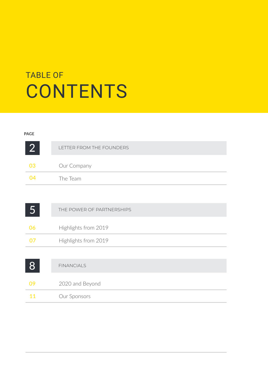## TABLE OF **CONTENTS**

#### **PAGE**

|    | LETTER FROM THE FOUNDERS |
|----|--------------------------|
| 03 | Our Company              |
|    | The Team                 |

|                           | THE POWER OF PARTNERSHIPS |
|---------------------------|---------------------------|
| 06                        | Highlights from 2019      |
| 07                        | Highlights from 2019      |
|                           |                           |
| $\mathsf{B}^{\mathsf{B}}$ | <b>FINANCIALS</b>         |
| 09                        | 2020 and Beyond           |
| 11                        | Our Sponsors              |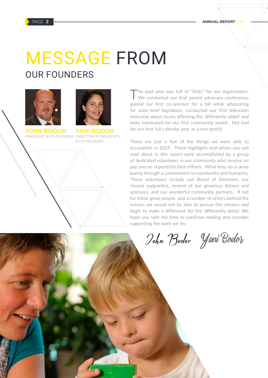## MESSAGE FROM OUR FOUNDERS





**JOHN BODOR** PRESIDENT & CO-FOUNDER DIRECTOR OF ADVOCACY **YANI BODOR** & CO-FOUNDER

The past year was full of "firsts" for our organization.<br>We conducted our first parent advocacy conference, gained our first co-sponsor for a bill while advocating for state-level legislation, conducted our first television interview about issues affecting the 'differently-abled' and were nominated for our first community award. Not bad for our first full calendar year as a non-profit!

These are just a few of the things we were able to accomplish in 2019. These highlights and others you will read about in this report were accomplished by a group of dedicated volunteers in our community who receive no pay and no stipend for their efforts. What they do is done purely through a commitment to community and humanity. These volunteers include our Board of Directors, our closest supporters, several of our generous donors and sponsors, and our wonderful community partners. If not for these great people, and a number of others behind the scenes, we would not be able to pursue this mission and begin to make a difference for the 'differently-abled.' We hope you take the time to continue reading and consider supporting the work we do.

John Bodor Yani Bodor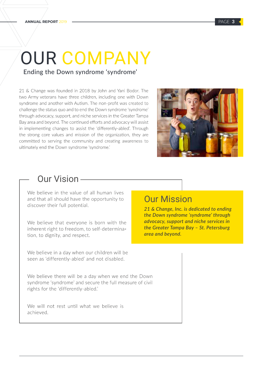# OUR COMPANY

Ending the Down syndrome 'syndrome'

21 & Change was founded in 2018 by John and Yani Bodor. The two Army veterans have three children, including one with Down syndrome and another with Autism. The non-profit was created to challenge the status quo and to end the Down syndrome 'syndrome' through advocacy, support, and niche services in the Greater Tampa Bay area and beyond. The continued efforts and advocacy will assist in implementing changes to assist the 'differently-abled'. Through the strong core values and mission of the organization, they are committed to serving the community and creating awareness to ultimately end the Down syndrome 'syndrome.'



### Our Vision

We believe in the value of all human lives and that all should have the opportunity to discover their full potential.

We believe that everyone is born with the inherent right to freedom, to self-determination, to dignity, and respect.

We believe in a day when our children will be seen as 'differently-abled' and not disabled.

We believe there will be a day when we end the Down syndrome 'syndrome' and secure the full measure of civil rights for the 'differently-abled.'

We will not rest until what we believe is achieved.

### Our Mission

*21 & Change, Inc. is dedicated to ending the Down syndrome 'syndrome' through advocacy, support and niche services in the Greater Tampa Bay – St. Petersburg area and beyond.*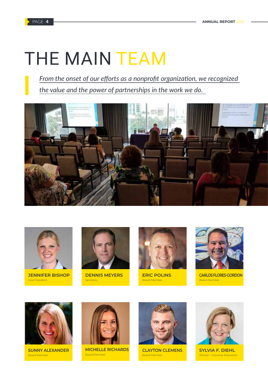# THE MAIN TEAM

*From the onset of our efforts as a nonprofit organization, we recognized the value and the power of partnerships in the work we do.* 





**JENNIFER BISHOP** Vice President



**DENNIS MEYERS Secretary** 



**ERIC POLINS** Board Member



**CARLOS FLORES-GORDON** Board Member



**SUNNY ALEXANDER** Board Member



**MICHELLE RICHARDS** Board Member



**CLAYTON CLEMENS** Board Member



**SYLVIA F. DIEHL** Advisor – Inclusive Education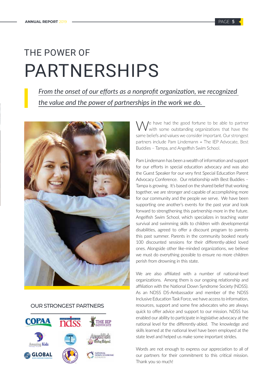## THE POWER OF PARTNERSHIPS

*From the onset of our efforts as a nonprofit organization, we recognized the value and the power of partnerships in the work we do.* 



#### OUR STRONGEST PARTNERS



We have had the good fortune to be able to partner<br>Wwith some outstanding organizations that have the same beliefs and values we consider important. Our strongest partners include Pam Lindemann – The IEP Advocate, Best Buddies – Tampa, and Angelfish Swim School.

Pam Lindemann has been a wealth of information and support for our efforts in special education advocacy and was also the Guest Speaker for our very first Special Education Parent Advocacy Conference. Our relationship with Best Buddies – Tampa is growing. It's based on the shared belief that working together, we are stronger and capable of accomplishing more for our community and the people we serve. We have been supporting one another's events for the past year and look forward to strengthening this partnership more in the future. Angelfish Swim School, which specializes in teaching water survival and swimming skills to children with developmental disabilities, agreed to offer a discount program to parents this past summer. Parents in the community booked nearly 100 discounted sessions for their differently-abled loved ones. Alongside other like-minded organizations, we believe we must do everything possible to ensure no more children perish from drowning in this state.

We are also affiliated with a number of national-level organizations. Among them is our ongoing relationship and affiliation with the National Down Syndrome Society (NDSS). As an NDSS DS-Ambassador and member of the NDSS Inclusive Education Task Force, we have access to information, resources, support and some fine advocates who are always quick to offer advice and support to our mission. NDSS has enabled our ability to participate in legislative advocacy at the national level for the differently-abled. The knowledge and skills learned at the national level have been employed at the state level and helped us make some important strides.

Words are not enough to express our appreciation to all of our partners for their commitment to this critical mission. Thank you so much!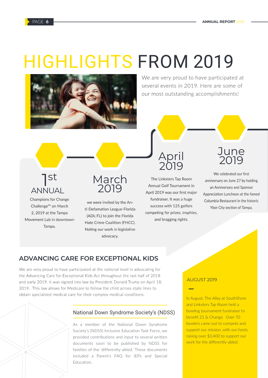# HIGHLIGHTS FROM 2019



We are very proud to have participated at several events in 2019. Here are some of our most outstanding accomplishments!



## ANNUAL 1st

Champions for Change Challenge™ on March 2, 2019 at the Tampa Movement Lab in downtown Tampa.

## March 2019

we were invited by the Anti-Defamation League-Florida (ADL-FL) to join the Florida Hate Crime Coalition (FHCC). Noting our work in legislative advocacy.

The Linksters Tap Room Annual Golf Tournament in April 2019 was our first major fundraiser. It was a huge success with 125 golfers competing for prizes, trophies, and bragging rights.

### **June** 2019

We celebrated our first anniversary on June 27 by holding an Anniversary and Sponsor Appreciation Luncheon at the famed Columbia Restaurant in the historic Ybor City section of Tampa.

#### **ADVANCING CARE FOR EXCEPTIONAL KIDS**

We are very proud to have participated at the national level in advocating for the Advancing Care for Exceptional Kids Act throughout the last half of 2018 and early 2019. It was signed into law by President Donald Trump on April 18, 2019. This law allows for Medicare to follow the child across state lines to obtain specialized medical care for their complex medical conditions.

#### National Down Syndrome Society's (NDSS)

As a member of the National Down Syndrome Society's (NDSS) Inclusive Education Task Force, we provided contributions and input to several written documents soon to be published by NDSS for families of the 'differently-abled.' These documents included a Parent's FAQ for IEPs and Special Education.

#### AUGUST 2019

In August, The Alley at SouthShore and Linksters Tap Room held a bowling tournament fundraiser to benefit 21 & Change. Over 70 bowlers came out to compete and support our mission, with our hosts raising over \$3,400 to support our work for the differently-abled.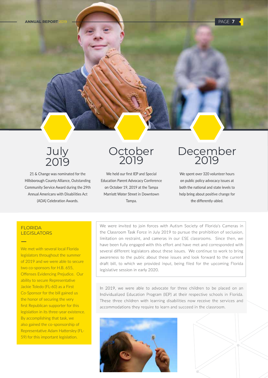### July 2019

21 & Change was nominated for the Hillsborough County Alliance, Outstanding Community Service Award during the 29th Annual Americans with Disabilities Act (ADA) Celebration Awards.

### **October** 2019

We held our first IEP and Special Education Parent Advocacy Conference on October 19, 2019 at the Tampa Marriott Water Street in Downtown Tampa.

### December 2019

We spent over 320 volunteer hours on public policy advocacy issues at both the national and state levels to help bring about positive change for the differently-abled.

#### FLORIDA **LEGISLATORS**

We met with several local Florida legislators throughout the summer of 2019 and we were able to secure two co-sponsors for H.B. 655, Offenses Evidencing Prejudice. Our ability to secure Representative Jackie Toledo (FL-60) as a First Co-Sponsor for the bill gained us the honor of securing the very first Republican supporter for this legislation in its three-year existence. By accomplishing that task, we also gained the co-sponsorship of Representative Adam Hattersley (FL-59) for this important legislation.

We were invited to join forces with Autism Society of Florida's Cameras in the Classroom Task Force in July 2019 to pursue the prohibition of seclusion, limitation on restraint, and cameras in our ESE classrooms. Since then, we have been fully engaged with this effort and have met and corresponded with several different legislators about these issues. We continue to work to bring awareness to the public about these issues and look forward to the current draft bill, to which we provided input, being filed for the upcoming Florida legislative session in early 2020.

In 2019, we were able to advocate for three children to be placed on an Individualized Education Program (IEP) at their respective schools in Florida. These three children with learning disabilities now receive the services and accommodations they require to learn and succeed in the classroom.

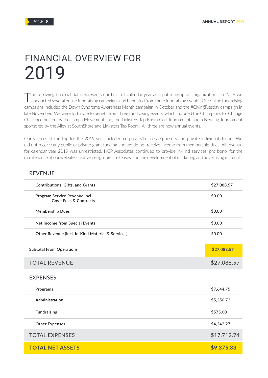## FINANCIAL OVERVIEW FOR 2019

The following financial data represents our first full calendar year as a public nonprofit organization. In 2019 we<br>conducted several online fundraising campaigns and benefited from three fundraising events. Our online fun campaigns included the Down Syndrome Awareness Month campaign in October and the #GivingTuesday campaign in late November. We were fortunate to benefit from three fundraising events, which included the Champions for Change Challenge hosted by the Tampa Movement Lab, the Linksters Tap Room Golf Tournament, and a Bowling Tournament sponsored by the Alley at SouthShore and Linksters Tap Room. All three are now annual events.

Our sources of funding for the 2019 year included corporate/business sponsors and private individual donors. We did not receive any public or private grant funding and we do not receive income from membership dues. All revenue for calendar year 2019 was unrestricted. HCP Associates continued to provide in-kind services 'pro bono' for the maintenance of our website, creative design, press releases, and the development of marketing and advertising materials.

#### REVENUE

| Contributions, Gifts, and Grants                        | \$27,088.57 |
|---------------------------------------------------------|-------------|
| Program Service Revenue incl.<br>Gov't Fees & Contracts | \$0.00      |
| <b>Membership Dues</b>                                  | \$0.00      |
| Net Income from Special Events                          | \$0.00      |
| Other Revenue (incl. In-Kind Material & Services)       | \$0.00      |
| <b>Subtotal From Operations</b>                         | \$27,088.57 |
| <b>TOTAL REVENUE</b>                                    | \$27,088.57 |
|                                                         |             |
| <b>EXPENSES</b>                                         |             |
| Programs                                                | \$7,644.75  |
| Administration                                          | \$5,250.72  |
| <b>Fundraising</b>                                      | \$575.00    |
| <b>Other Expenses</b>                                   | \$4,242.27  |
| <b>TOTAL EXPENSES</b>                                   | \$17,712.74 |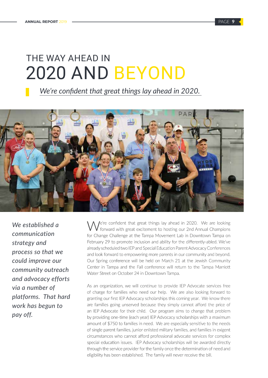## THE WAY AHEAD IN 2020 AND BEYOND

*We're confident that great things lay ahead in 2020.* 



*We established a communication strategy and process so that we could improve our community outreach and advocacy efforts via a number of platforms. That hard work has begun to pay off.* 

We're confident that great things lay ahead in 2020. We are looking forward with great excitement to hosting our 2nd Annual Champions for Change Challenge at the Tampa Movement Lab in Downtown Tampa on February 29 to promote inclusion and ability for the differently-abled. We've already scheduled two IEP and Special Education Parent Advocacy Conferences and look forward to empowering more parents in our community and beyond. Our Spring conference will be held on March 21 at the Jewish Community Center in Tampa and the Fall conference will return to the Tampa Marriott Water Street on October 24 in Downtown Tampa.

As an organization, we will continue to provide IEP Advocate services free of charge for families who need our help. We are also looking forward to granting our first IEP Advocacy scholarships this coming year. We know there are families going unserved because they simply cannot afford the price of an IEP Advocate for their child. Our program aims to change that problem by providing one-time (each year) IEP Advocacy scholarships with a maximum amount of \$750 to families in need. We are especially sensitive to the needs of single parent families, junior enlisted military families, and families in exigent circumstances who cannot afford professional advocate services for complex special education issues. IEP Advocacy scholarships will be awarded directly through the service provider for the family once the determination of need and eligibility has been established. The family will never receive the bill.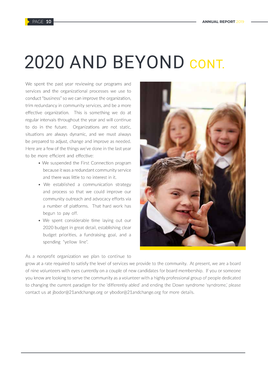## 2020 AND BEYOND CONT.

We spent the past year reviewing our programs and services and the organizational processes we use to conduct "business" so we can improve the organization, trim redundancy in community services, and be a more effective organization. This is something we do at regular intervals throughout the year and will continue to do in the future. Organizations are not static, situations are always dynamic, and we must always be prepared to adjust, change and improve as needed. Here are a few of the things we've done in the last year to be more efficient and effective:

- We suspended the First Connection program because it was a redundant community service and there was little to no interest in it.
- We established a communication strategy and process so that we could improve our community outreach and advocacy efforts via a number of platforms. That hard work has begun to pay off.
- We spent considerable time laying out our 2020 budget in great detail, establishing clear budget priorities, a fundraising goal, and a spending "yellow line".

As a nonprofit organization we plan to continue to



grow at a rate required to satisfy the level of services we provide to the community. At present, we are a board of nine volunteers with eyes currently on a couple of new candidates for board membership. If you or someone you know are looking to serve the community as a volunteer with a highly professional group of people dedicated to changing the current paradigm for the 'differently-abled' and ending the Down syndrome 'syndrome,' please contact us at jbodor@21andchange.org or ybodor@21andchange.org for more details.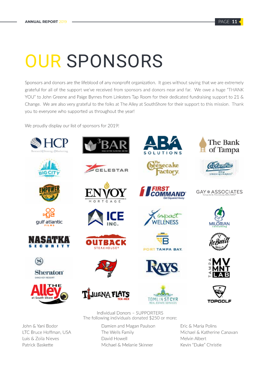# OUR SPONSORS

Sponsors and donors are the lifeblood of any nonprofit organization. It goes without saying that we are extremely grateful for all of the support we've received from sponsors and donors near and far. We owe a huge "THANK YOU" to John Greene and Paige Byrnes from Linksters Tap Room for their dedicated fundraising support to 21 & Change. We are also very grateful to the folks at The Alley at SouthShore for their support to this mission. Thank you to everyone who supported us throughout the year!

We proudly display our list of sponsors for 2019!



John & Yani Bodor LTC Bruce Hoffman, USA Luis & Zoila Nieves Patrick Baskette

Damien and Magan Paulson The Wells Family David Howell Michael & Melanie Skinner

Eric & Maria Polins Michael & Katherine Canavan Melvin Albert Kevin "Duke" Christie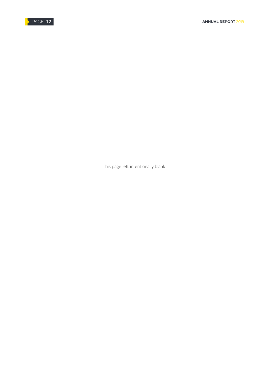

This page left intentionally blank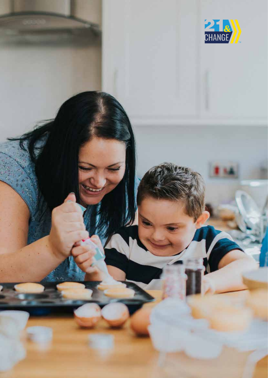